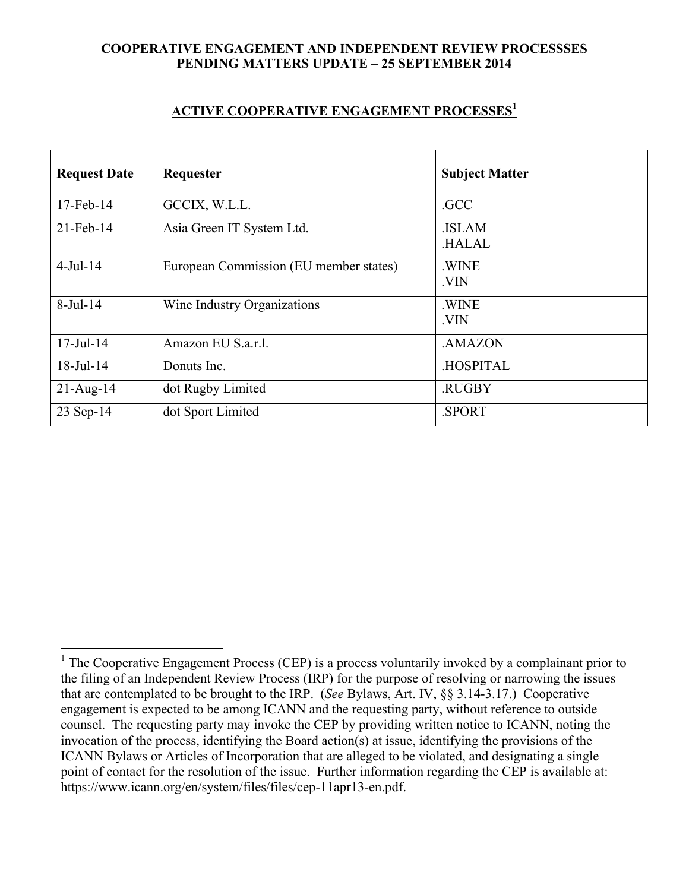## **COOPERATIVE ENGAGEMENT AND INDEPENDENT REVIEW PROCESSSES PENDING MATTERS UPDATE – 25 SEPTEMBER 2014**

## **ACTIVE COOPERATIVE ENGAGEMENT PROCESSES1**

| <b>Request Date</b> | Requester                              | <b>Subject Matter</b>        |
|---------------------|----------------------------------------|------------------------------|
| $17$ -Feb- $14$     | GCCIX, W.L.L.                          | .GCC                         |
| $21$ -Feb-14        | Asia Green IT System Ltd.              | <b>ISLAM</b><br><b>HALAL</b> |
| $4$ -Jul-14         | European Commission (EU member states) | .WINE<br>.VIN                |
| $8-Jul-14$          | Wine Industry Organizations            | .WINE<br>.VIN                |
| $17 -$ Jul $-14$    | Amazon EU S.a.r.l.                     | .AMAZON                      |
| $18$ -Jul- $14$     | Donuts Inc.                            | <b>HOSPITAL</b>              |
| $21 - Aug-14$       | dot Rugby Limited                      | .RUGBY                       |
| 23 Sep-14           | dot Sport Limited                      | .SPORT                       |

<sup>&</sup>lt;sup>1</sup> The Cooperative Engagement Process (CEP) is a process voluntarily invoked by a complainant prior to the filing of an Independent Review Process (IRP) for the purpose of resolving or narrowing the issues that are contemplated to be brought to the IRP. (*See* Bylaws, Art. IV, §§ 3.14-3.17.) Cooperative engagement is expected to be among ICANN and the requesting party, without reference to outside counsel. The requesting party may invoke the CEP by providing written notice to ICANN, noting the invocation of the process, identifying the Board action(s) at issue, identifying the provisions of the ICANN Bylaws or Articles of Incorporation that are alleged to be violated, and designating a single point of contact for the resolution of the issue. Further information regarding the CEP is available at: https://www.icann.org/en/system/files/files/cep-11apr13-en.pdf.